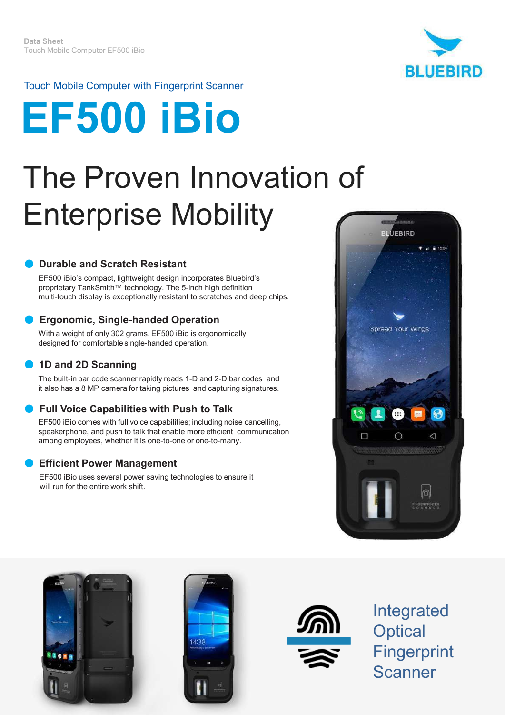

#### Touch Mobile Computer with Fingerprint Scanner

# **EF500 iBio**

## The Proven Innovation of Enterprise Mobility

#### **● Durable and Scratch Resistant**

EF500 iBio's compact, lightweight design incorporates Bluebird's proprietary TankSmith™ technology. The 5-inch high definition multi-touch display is exceptionally resistant to scratches and deep chips.

#### **● Ergonomic, Single-handed Operation**

With a weight of only 302 grams, EF500 iBio is ergonomically designed for comfortable single-handed operation.

#### **● 1D and 2D Scanning**

The built-in bar code scanner rapidly reads 1-D and 2-D bar codes and it also has a 8 MP camera for taking pictures and capturing signatures.

#### **● Full Voice Capabilities with Push to Talk**

EF500 iBio comes with full voice capabilities; including noise cancelling, speakerphone, and push to talk that enable more efficient communication among employees, whether it is one-to-one or one-to-many.

#### **● Efficient Power Management**

EF500 iBio uses several power saving technologies to ensure it will run for the entire work shift.









Integrated **Optical Fingerprint** Scanner